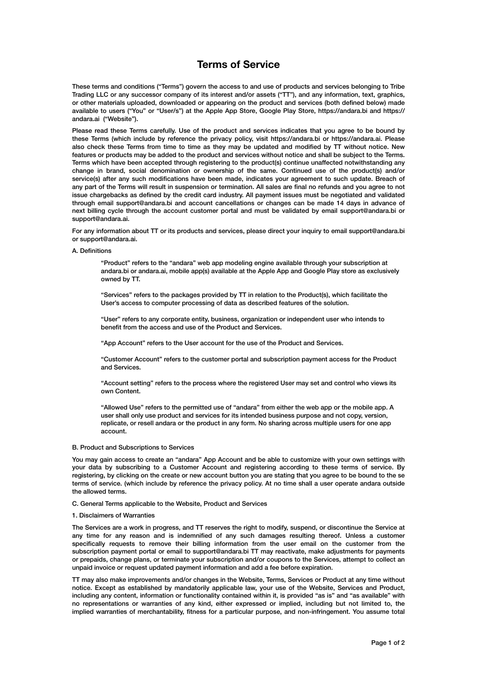# **Terms of Service**

These terms and conditions ("Terms") govern the access to and use of products and services belonging to Tribe Trading LLC or any successor company of its interest and/or assets ("TT"), and any information, text, graphics, or other materials uploaded, downloaded or appearing on the product and services (both defined below) made available to users ("You" or "User/s") at the Apple App Store, Google Play Store, https://andara.bi and https:// andara.ai ("Website").

Please read these Terms carefully. Use of the product and services indicates that you agree to be bound by these Terms (which include by reference the privacy policy, visit https://andara.bi or https://andara.ai. Please also check these Terms from time to time as they may be updated and modified by TT without notice. New features or products may be added to the product and services without notice and shall be subject to the Terms. Terms which have been accepted through registering to the product(s) continue unaffected notwithstanding any change in brand, social denomination or ownership of the same. Continued use of the product(s) and/or service(s) after any such modifications have been made, indicates your agreement to such update. Breach of any part of the Terms will result in suspension or termination. All sales are final no refunds and you agree to not issue chargebacks as defined by the credit card industry. All payment issues must be negotiated and validated through email support@andara.bi and account cancellations or changes can be made 14 days in advance of next billing cycle through the account customer portal and must be validated by email support@andara.bi or support@andara.ai.

For any information about TT or its products and services, please direct your inquiry to email support@andara.bi or support@andara.ai.

A. Definitions

 "Product" refers to the "andara" web app modeling engine available through your subscription at andara.bi or andara.ai, mobile app(s) available at the Apple App and Google Play store as exclusively owned by TT.

 "Services" refers to the packages provided by TT in relation to the Product(s), which facilitate the User's access to computer processing of data as described features of the solution.

 "User" refers to any corporate entity, business, organization or independent user who intends to benefit from the access and use of the Product and Services.

"App Account" refers to the User account for the use of the Product and Services.

 "Customer Account" refers to the customer portal and subscription payment access for the Product and Services.

 "Account setting" refers to the process where the registered User may set and control who views its own Content.

 "Allowed Use" refers to the permitted use of "andara" from either the web app or the mobile app. A user shall only use product and services for its intended business purpose and not copy, version, replicate, or resell andara or the product in any form. No sharing across multiple users for one app account.

## B. Product and Subscriptions to Services

You may gain access to create an "andara" App Account and be able to customize with your own settings with your data by subscribing to a Customer Account and registering according to these terms of service. By registering, by clicking on the create or new account button you are stating that you agree to be bound to the se terms of service. (which include by reference the privacy policy. At no time shall a user operate andara outside the allowed terms.

C. General Terms applicable to the Website, Product and Services

1. Disclaimers of Warranties

The Services are a work in progress, and TT reserves the right to modify, suspend, or discontinue the Service at any time for any reason and is indemnified of any such damages resulting thereof. Unless a customer specifically requests to remove their billing information from the user email on the customer from the subscription payment portal or email to support@andara.bi TT may reactivate, make adjustments for payments or prepaids, change plans, or terminate your subscription and/or coupons to the Services, attempt to collect an unpaid invoice or request updated payment information and add a fee before expiration.

TT may also make improvements and/or changes in the Website, Terms, Services or Product at any time without notice. Except as established by mandatorily applicable law, your use of the Website, Services and Product, including any content, information or functionality contained within it, is provided "as is" and "as available" with no representations or warranties of any kind, either expressed or implied, including but not limited to, the implied warranties of merchantability, fitness for a particular purpose, and non-infringement. You assume total